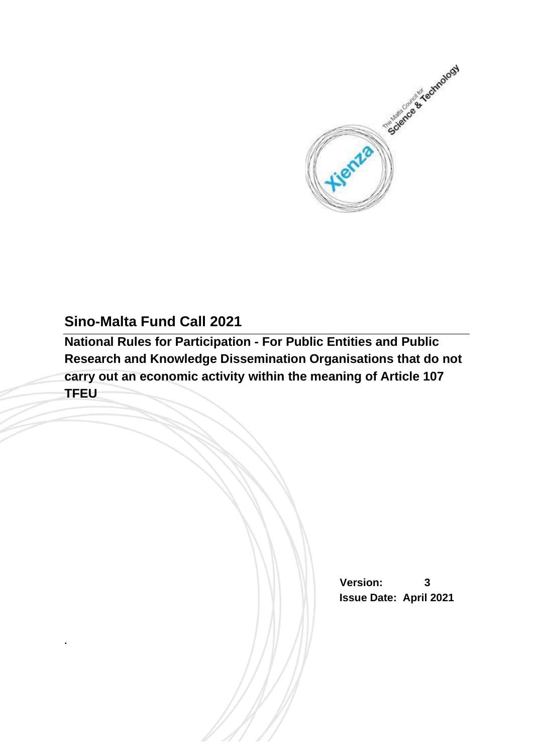

# **Sino-Malta Fund Call 2021**

**.**

**National Rules for Participation - For Public Entities and Public Research and Knowledge Dissemination Organisations that do not carry out an economic activity within the meaning of Article 107 TFEU**

> **Version: 3 Issue Date: April 2021**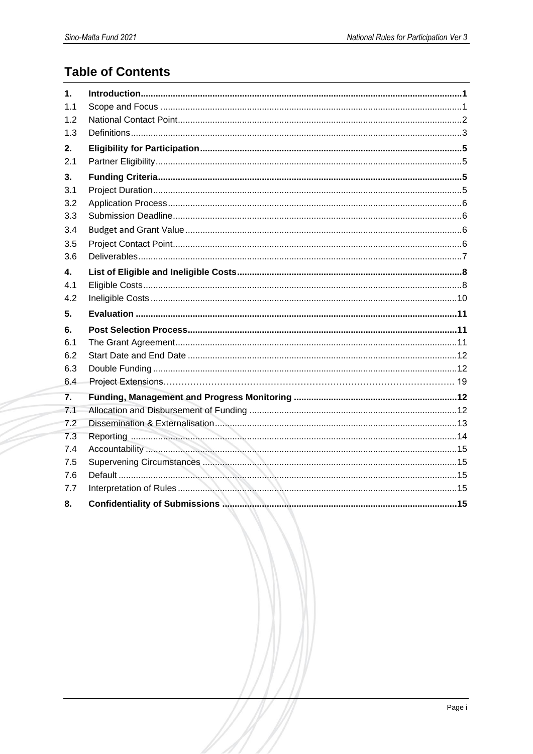# **Table of Contents**

| $\mathbf{1}$ . |  |
|----------------|--|
| 1.1            |  |
| 1.2            |  |
| 1.3            |  |
| 2.             |  |
| 2.1            |  |
| 3.             |  |
| 3.1            |  |
| 3.2            |  |
| 3.3            |  |
| 3.4            |  |
| 3.5            |  |
| 3.6            |  |
| 4.             |  |
| 4.1            |  |
| 4.2            |  |
|                |  |
| 5.             |  |
| 6.             |  |
| 6.1            |  |
| 6.2            |  |
| 6.3            |  |
| 6.4            |  |
| 7.             |  |
| 7.1            |  |
| 7.2            |  |
| 7.3            |  |
| 7.4            |  |
| 7.5            |  |
| 7.6            |  |
| 7.7            |  |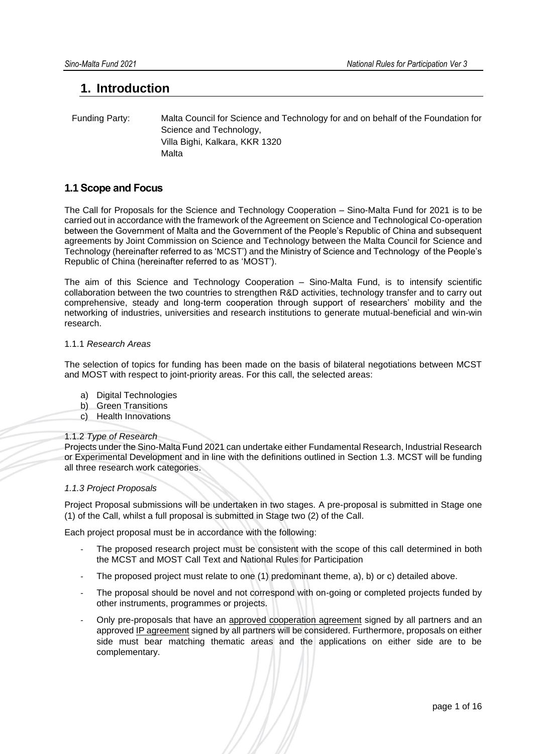# <span id="page-2-0"></span>**1. Introduction**

 Funding Party: Malta Council for Science and Technology for and on behalf of the Foundation for Science and Technology, Villa Bighi, Kalkara, KKR 1320 Malta

## <span id="page-2-1"></span>**1.1 Scope and Focus**

The Call for Proposals for the Science and Technology Cooperation – Sino-Malta Fund for 2021 is to be carried out in accordance with the framework of the Agreement on Science and Technological Co-operation between the Government of Malta and the Government of the People's Republic of China and subsequent agreements by Joint Commission on Science and Technology between the Malta Council for Science and Technology (hereinafter referred to as 'MCST') and the Ministry of Science and Technology of the People's Republic of China (hereinafter referred to as 'MOST').

The aim of this Science and Technology Cooperation – Sino-Malta Fund, is to intensify scientific collaboration between the two countries to strengthen R&D activities, technology transfer and to carry out comprehensive, steady and long-term cooperation through support of researchers' mobility and the networking of industries, universities and research institutions to generate mutual-beneficial and win-win research.

#### 1.1.1 *Research Areas*

The selection of topics for funding has been made on the basis of bilateral negotiations between MCST and MOST with respect to joint-priority areas. For this call, the selected areas:

- a) Digital Technologies
- b) Green Transitions
- c) Health Innovations

#### 1.1.2 *Type of Research*

Projects under the Sino-Malta Fund 2021 can undertake either Fundamental Research, Industrial Research or Experimental Development and in line with the definitions outlined in Section 1.3. MCST will be funding all three research work categories.

## *1.1.3 Project Proposals*

Project Proposal submissions will be undertaken in two stages. A pre-proposal is submitted in Stage one (1) of the Call, whilst a full proposal is submitted in Stage two (2) of the Call.

Each project proposal must be in accordance with the following:

- The proposed research project must be consistent with the scope of this call determined in both the MCST and MOST Call Text and National Rules for Participation
- The proposed project must relate to one (1) predominant theme, a), b) or c) detailed above.
- The proposal should be novel and not correspond with on-going or completed projects funded by other instruments, programmes or projects.
- Only pre-proposals that have an approved cooperation agreement signed by all partners and an approved IP agreement signed by all partners will be considered. Furthermore, proposals on either side must bear matching thematic areas and the applications on either side are to be complementary.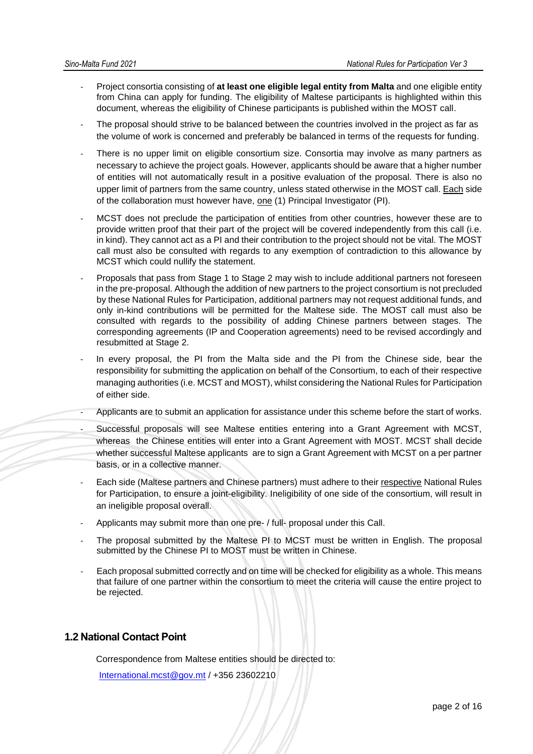- Project consortia consisting of **at least one eligible legal entity from Malta** and one eligible entity from China can apply for funding. The eligibility of Maltese participants is highlighted within this document, whereas the eligibility of Chinese participants is published within the MOST call.
- The proposal should strive to be balanced between the countries involved in the project as far as the volume of work is concerned and preferably be balanced in terms of the requests for funding.
- There is no upper limit on eligible consortium size. Consortia may involve as many partners as necessary to achieve the project goals. However, applicants should be aware that a higher number of entities will not automatically result in a positive evaluation of the proposal. There is also no upper limit of partners from the same country, unless stated otherwise in the MOST call. Each side of the collaboration must however have, one (1) Principal Investigator (PI).
- MCST does not preclude the participation of entities from other countries, however these are to provide written proof that their part of the project will be covered independently from this call (i.e. in kind). They cannot act as a PI and their contribution to the project should not be vital. The MOST call must also be consulted with regards to any exemption of contradiction to this allowance by MCST which could nullify the statement.
- Proposals that pass from Stage 1 to Stage 2 may wish to include additional partners not foreseen in the pre-proposal. Although the addition of new partners to the project consortium is not precluded by these National Rules for Participation, additional partners may not request additional funds, and only in-kind contributions will be permitted for the Maltese side. The MOST call must also be consulted with regards to the possibility of adding Chinese partners between stages. The corresponding agreements (IP and Cooperation agreements) need to be revised accordingly and resubmitted at Stage 2.
- In every proposal, the PI from the Malta side and the PI from the Chinese side, bear the responsibility for submitting the application on behalf of the Consortium, to each of their respective managing authorities (i.e. MCST and MOST), whilst considering the National Rules for Participation of either side.
- Applicants are to submit an application for assistance under this scheme before the start of works.
- Successful proposals will see Maltese entities entering into a Grant Agreement with MCST, whereas the Chinese entities will enter into a Grant Agreement with MOST. MCST shall decide whether successful Maltese applicants are to sign a Grant Agreement with MCST on a per partner basis, or in a collective manner.
- Each side (Maltese partners and Chinese partners) must adhere to their respective National Rules for Participation, to ensure a joint-eligibility. Ineligibility of one side of the consortium, will result in an ineligible proposal overall.
- Applicants may submit more than one pre- / full- proposal under this Call.
- The proposal submitted by the Maltese PI to MCST must be written in English. The proposal submitted by the Chinese PI to MOST must be written in Chinese.
- Each proposal submitted correctly and on time will be checked for eligibility as a whole. This means that failure of one partner within the consortium to meet the criteria will cause the entire project to be rejected.

## <span id="page-3-0"></span>**1.2 National Contact Point**

Correspondence from Maltese entities should be directed to:

[International.mcst@gov.mt](mailto:International.mcst@gov.mt) / +356 23602210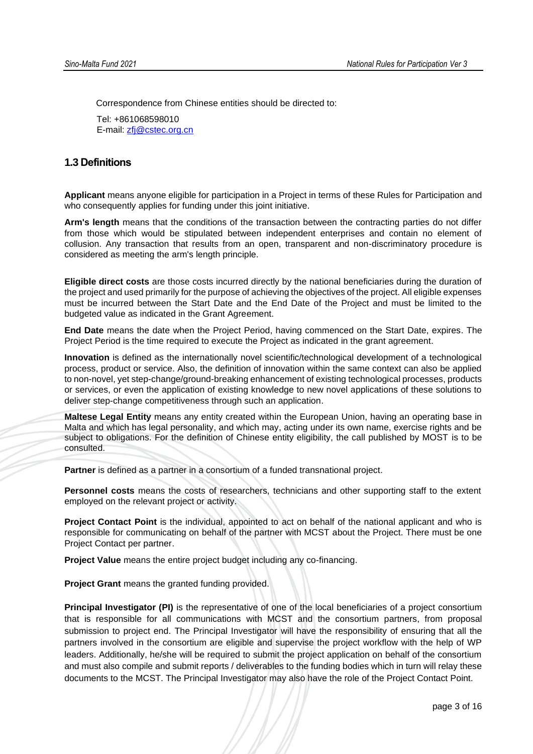Correspondence from Chinese entities should be directed to:

 Tel: +861068598010 E-mail: [zfj@cstec.org.cn](mailto:zfj@cstec.org.cn)

## <span id="page-4-0"></span>**1.3 Definitions**

**Applicant** means anyone eligible for participation in a Project in terms of these Rules for Participation and who consequently applies for funding under this joint initiative.

**Arm's length** means that the conditions of the transaction between the contracting parties do not differ from those which would be stipulated between independent enterprises and contain no element of collusion. Any transaction that results from an open, transparent and non-discriminatory procedure is considered as meeting the arm's length principle.

**Eligible direct costs** are those costs incurred directly by the national beneficiaries during the duration of the project and used primarily for the purpose of achieving the objectives of the project. All eligible expenses must be incurred between the Start Date and the End Date of the Project and must be limited to the budgeted value as indicated in the Grant Agreement.

**End Date** means the date when the Project Period, having commenced on the Start Date, expires. The Project Period is the time required to execute the Project as indicated in the grant agreement.

**Innovation** is defined as the internationally novel scientific/technological development of a technological process, product or service. Also, the definition of innovation within the same context can also be applied to non-novel, yet step-change/ground-breaking enhancement of existing technological processes, products or services, or even the application of existing knowledge to new novel applications of these solutions to deliver step-change competitiveness through such an application.

**Maltese Legal Entity** means any entity created within the European Union, having an operating base in Malta and which has legal personality, and which may, acting under its own name, exercise rights and be subject to obligations. For the definition of Chinese entity eligibility, the call published by MOST is to be consulted.

**Partner** is defined as a partner in a consortium of a funded transnational project.

**Personnel costs** means the costs of researchers, technicians and other supporting staff to the extent employed on the relevant project or activity.

**Project Contact Point** is the individual, appointed to act on behalf of the national applicant and who is responsible for communicating on behalf of the partner with MCST about the Project. There must be one Project Contact per partner.

**Project Value** means the entire project budget including any co-financing.

**Project Grant** means the granted funding provided.

**Principal Investigator (PI)** is the representative of one of the local beneficiaries of a project consortium that is responsible for all communications with MCST and the consortium partners, from proposal submission to project end. The Principal Investigator will have the responsibility of ensuring that all the partners involved in the consortium are eligible and supervise the project workflow with the help of WP leaders. Additionally, he/she will be required to submit the project application on behalf of the consortium and must also compile and submit reports / deliverables to the funding bodies which in turn will relay these documents to the MCST. The Principal Investigator may also have the role of the Project Contact Point.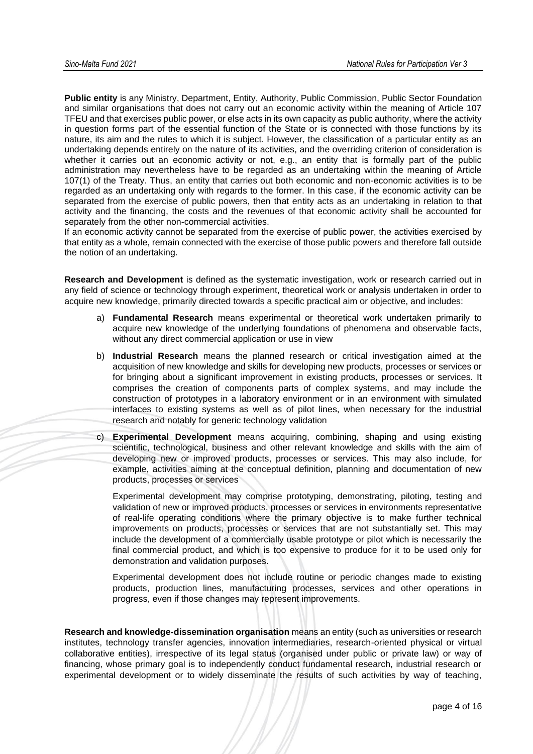**Public entity** is any Ministry, Department, Entity, Authority, Public Commission, Public Sector Foundation and similar organisations that does not carry out an economic activity within the meaning of Article 107 TFEU and that exercises public power, or else acts in its own capacity as public authority, where the activity in question forms part of the essential function of the State or is connected with those functions by its nature, its aim and the rules to which it is subject. However, the classification of a particular entity as an undertaking depends entirely on the nature of its activities, and the overriding criterion of consideration is whether it carries out an economic activity or not, e.g., an entity that is formally part of the public administration may nevertheless have to be regarded as an undertaking within the meaning of Article 107(1) of the Treaty. Thus, an entity that carries out both economic and non-economic activities is to be regarded as an undertaking only with regards to the former. In this case, if the economic activity can be separated from the exercise of public powers, then that entity acts as an undertaking in relation to that activity and the financing, the costs and the revenues of that economic activity shall be accounted for separately from the other non-commercial activities.

If an economic activity cannot be separated from the exercise of public power, the activities exercised by that entity as a whole, remain connected with the exercise of those public powers and therefore fall outside the notion of an undertaking.

**Research and Development** is defined as the systematic investigation, work or research carried out in any field of science or technology through experiment, theoretical work or analysis undertaken in order to acquire new knowledge, primarily directed towards a specific practical aim or objective, and includes:

- a) **Fundamental Research** means experimental or theoretical work undertaken primarily to acquire new knowledge of the underlying foundations of phenomena and observable facts, without any direct commercial application or use in view
- b) **Industrial Research** means the planned research or critical investigation aimed at the acquisition of new knowledge and skills for developing new products, processes or services or for bringing about a significant improvement in existing products, processes or services. It comprises the creation of components parts of complex systems, and may include the construction of prototypes in a laboratory environment or in an environment with simulated interfaces to existing systems as well as of pilot lines, when necessary for the industrial research and notably for generic technology validation
- c) **Experimental Development** means acquiring, combining, shaping and using existing scientific, technological, business and other relevant knowledge and skills with the aim of developing new or improved products, processes or services. This may also include, for example, activities aiming at the conceptual definition, planning and documentation of new products, processes or services

Experimental development may comprise prototyping, demonstrating, piloting, testing and validation of new or improved products, processes or services in environments representative of real-life operating conditions where the primary objective is to make further technical improvements on products, processes or services that are not substantially set. This may include the development of a commercially usable prototype or pilot which is necessarily the final commercial product, and which is too expensive to produce for it to be used only for demonstration and validation purposes.

Experimental development does not include routine or periodic changes made to existing products, production lines, manufacturing processes, services and other operations in progress, even if those changes may represent improvements.

**Research and knowledge-dissemination organisation** means an entity (such as universities or research institutes, technology transfer agencies, innovation intermediaries, research-oriented physical or virtual collaborative entities), irrespective of its legal status (organised under public or private law) or way of financing, whose primary goal is to independently conduct fundamental research, industrial research or experimental development or to widely disseminate the results of such activities by way of teaching,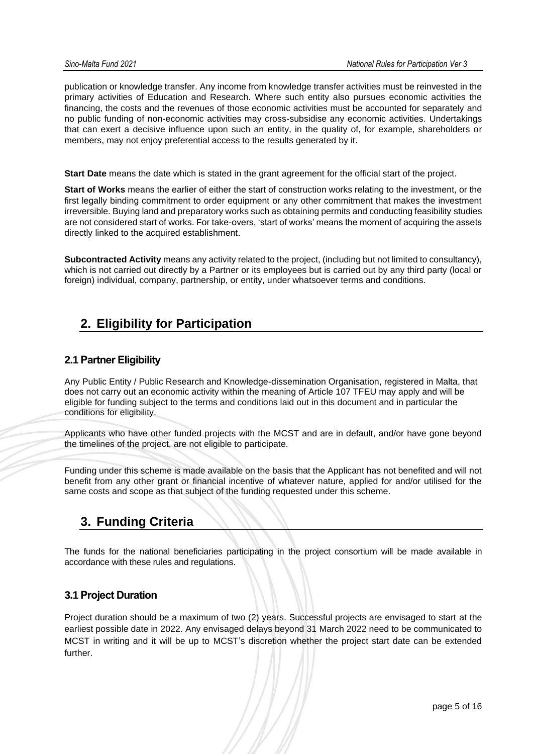publication or knowledge transfer. Any income from knowledge transfer activities must be reinvested in the primary activities of Education and Research. Where such entity also pursues economic activities the financing, the costs and the revenues of those economic activities must be accounted for separately and no public funding of non-economic activities may cross-subsidise any economic activities. Undertakings that can exert a decisive influence upon such an entity, in the quality of, for example, shareholders or members, may not enjoy preferential access to the results generated by it.

**Start Date** means the date which is stated in the grant agreement for the official start of the project.

**Start of Works** means the earlier of either the start of construction works relating to the investment, or the first legally binding commitment to order equipment or any other commitment that makes the investment irreversible. Buying land and preparatory works such as obtaining permits and conducting feasibility studies are not considered start of works. For take-overs, 'start of works' means the moment of acquiring the assets directly linked to the acquired establishment.

**Subcontracted Activity** means any activity related to the project, (including but not limited to consultancy), which is not carried out directly by a Partner or its employees but is carried out by any third party (local or foreign) individual, company, partnership, or entity, under whatsoever terms and conditions.

# <span id="page-6-0"></span>**2. Eligibility for Participation**

## <span id="page-6-1"></span>**2.1 Partner Eligibility**

Any Public Entity / Public Research and Knowledge-dissemination Organisation, registered in Malta, that does not carry out an economic activity within the meaning of Article 107 TFEU may apply and will be eligible for funding subject to the terms and conditions laid out in this document and in particular the conditions for eligibility.

Applicants who have other funded projects with the MCST and are in default, and/or have gone beyond the timelines of the project, are not eligible to participate.

Funding under this scheme is made available on the basis that the Applicant has not benefited and will not benefit from any other grant or financial incentive of whatever nature, applied for and/or utilised for the same costs and scope as that subject of the funding requested under this scheme.

## <span id="page-6-2"></span>**3. Funding Criteria**

The funds for the national beneficiaries participating in the project consortium will be made available in accordance with these rules and regulations.

## <span id="page-6-3"></span>**3.1 Project Duration**

Project duration should be a maximum of two (2) years. Successful projects are envisaged to start at the earliest possible date in 2022. Any envisaged delays beyond 31 March 2022 need to be communicated to MCST in writing and it will be up to MCST's discretion whether the project start date can be extended further.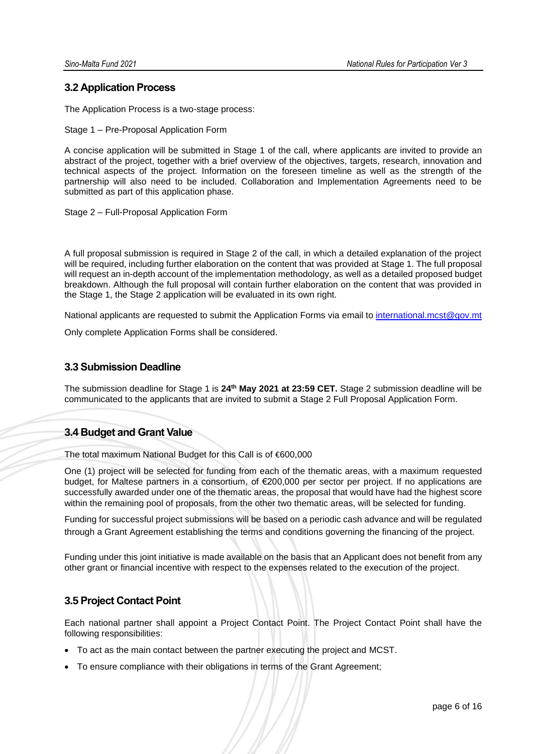## <span id="page-7-0"></span>**3.2 Application Process**

The Application Process is a two-stage process:

Stage 1 – Pre-Proposal Application Form

A concise application will be submitted in Stage 1 of the call, where applicants are invited to provide an abstract of the project, together with a brief overview of the objectives, targets, research, innovation and technical aspects of the project. Information on the foreseen timeline as well as the strength of the partnership will also need to be included. Collaboration and Implementation Agreements need to be submitted as part of this application phase.

Stage 2 – Full-Proposal Application Form

A full proposal submission is required in Stage 2 of the call, in which a detailed explanation of the project will be required, including further elaboration on the content that was provided at Stage 1. The full proposal will request an in-depth account of the implementation methodology, as well as a detailed proposed budget breakdown. Although the full proposal will contain further elaboration on the content that was provided in the Stage 1, the Stage 2 application will be evaluated in its own right.

National applicants are requested to submit the Application Forms via email to [international.mcst@gov.mt](mailto:international.mcst@gov.mt)

<span id="page-7-1"></span>Only complete Application Forms shall be considered.

## **3.3 Submission Deadline**

<span id="page-7-2"></span>The submission deadline for Stage 1 is **24 th May 2021 at 23:59 CET.** Stage 2 submission deadline will be communicated to the applicants that are invited to submit a Stage 2 Full Proposal Application Form.

## **3.4 Budget and Grant Value**

The total maximum National Budget for this Call is of €600,000

One (1) project will be selected for funding from each of the thematic areas, with a maximum requested budget, for Maltese partners in a consortium, of €200,000 per sector per project. If no applications are successfully awarded under one of the thematic areas, the proposal that would have had the highest score within the remaining pool of proposals, from the other two thematic areas, will be selected for funding.

Funding for successful project submissions will be based on a periodic cash advance and will be regulated through a Grant Agreement establishing the terms and conditions governing the financing of the project.

Funding under this joint initiative is made available on the basis that an Applicant does not benefit from any other grant or financial incentive with respect to the expenses related to the execution of the project.

## <span id="page-7-3"></span>**3.5 Project Contact Point**

Each national partner shall appoint a Project Contact Point. The Project Contact Point shall have the following responsibilities:

- To act as the main contact between the partner executing the project and MCST.
- To ensure compliance with their obligations in terms of the Grant Agreement;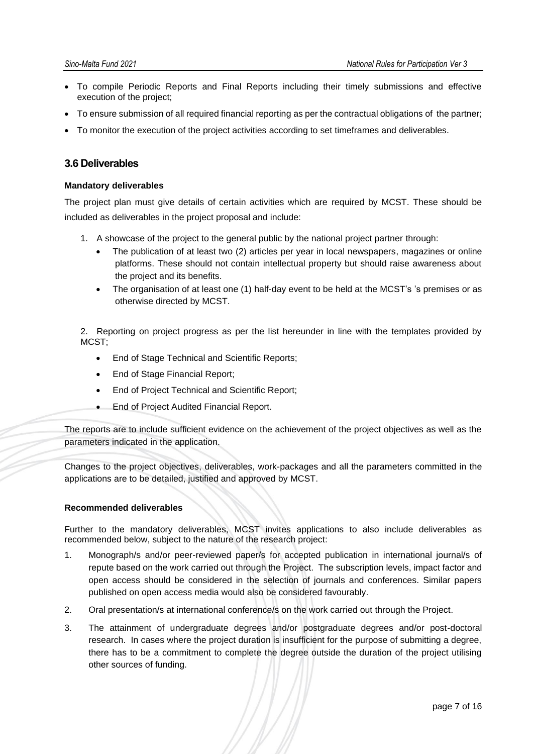- To compile Periodic Reports and Final Reports including their timely submissions and effective execution of the project;
- To ensure submission of all required financial reporting as per the contractual obligations of the partner;
- To monitor the execution of the project activities according to set timeframes and deliverables.

## <span id="page-8-0"></span>**3.6 Deliverables**

#### **Mandatory deliverables**

The project plan must give details of certain activities which are required by MCST. These should be included as deliverables in the project proposal and include:

- 1. A showcase of the project to the general public by the national project partner through:
	- The publication of at least two (2) articles per year in local newspapers, magazines or online platforms. These should not contain intellectual property but should raise awareness about the project and its benefits.
	- The organisation of at least one (1) half-day event to be held at the MCST's 's premises or as otherwise directed by MCST.

2. Reporting on project progress as per the list hereunder in line with the templates provided by MCST;

- End of Stage Technical and Scientific Reports;
- End of Stage Financial Report;
- End of Project Technical and Scientific Report;
- End of Project Audited Financial Report.

The reports are to include sufficient evidence on the achievement of the project objectives as well as the parameters indicated in the application.

Changes to the project objectives, deliverables, work-packages and all the parameters committed in the applications are to be detailed, justified and approved by MCST.

#### **Recommended deliverables**

Further to the mandatory deliverables, MCST invites applications to also include deliverables as recommended below, subject to the nature of the research project:

- 1. Monograph/s and/or peer-reviewed paper/s for accepted publication in international journal/s of repute based on the work carried out through the Project. The subscription levels, impact factor and open access should be considered in the selection of journals and conferences. Similar papers published on open access media would also be considered favourably.
- 2. Oral presentation/s at international conference/s on the work carried out through the Project.
- 3. The attainment of undergraduate degrees and/or postgraduate degrees and/or post-doctoral research. In cases where the project duration is insufficient for the purpose of submitting a degree, there has to be a commitment to complete the degree outside the duration of the project utilising other sources of funding.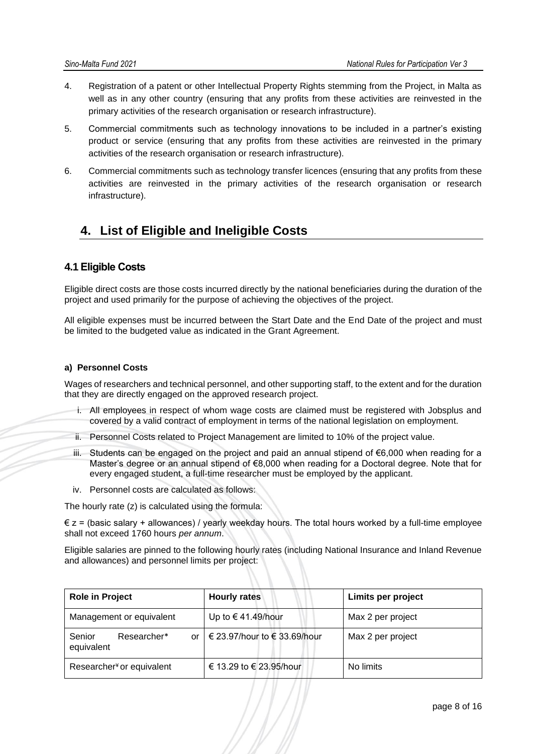- 4. Registration of a patent or other Intellectual Property Rights stemming from the Project, in Malta as well as in any other country (ensuring that any profits from these activities are reinvested in the primary activities of the research organisation or research infrastructure).
- 5. Commercial commitments such as technology innovations to be included in a partner's existing product or service (ensuring that any profits from these activities are reinvested in the primary activities of the research organisation or research infrastructure).
- 6. Commercial commitments such as technology transfer licences (ensuring that any profits from these activities are reinvested in the primary activities of the research organisation or research infrastructure).

# <span id="page-9-0"></span>**4. List of Eligible and Ineligible Costs**

## <span id="page-9-1"></span>**4.1 Eligible Costs**

Eligible direct costs are those costs incurred directly by the national beneficiaries during the duration of the project and used primarily for the purpose of achieving the objectives of the project.

All eligible expenses must be incurred between the Start Date and the End Date of the project and must be limited to the budgeted value as indicated in the Grant Agreement.

#### **a) Personnel Costs**

Wages of researchers and technical personnel, and other supporting staff, to the extent and for the duration that they are directly engaged on the approved research project.

- i. All employees in respect of whom wage costs are claimed must be registered with Jobsplus and covered by a valid contract of employment in terms of the national legislation on employment.
- ii. Personnel Costs related to Project Management are limited to 10% of the project value.
- iii. Students can be engaged on the project and paid an annual stipend of €6,000 when reading for a Master's degree or an annual stipend of €8,000 when reading for a Doctoral degree. Note that for every engaged student, a full-time researcher must be employed by the applicant.
- iv. Personnel costs are calculated as follows:

The hourly rate (z) is calculated using the formula:

 $\epsilon$  z = (basic salary + allowances) / yearly weekday hours. The total hours worked by a full-time employee shall not exceed 1760 hours *per annum*.

Eligible salaries are pinned to the following hourly rates (including National Insurance and Inland Revenue and allowances) and personnel limits per project:

| <b>Role in Project</b>                | <b>Hourly rates</b>                     | Limits per project |
|---------------------------------------|-----------------------------------------|--------------------|
| Management or equivalent              | Up to $\in$ 41.49/hour                  | Max 2 per project  |
| Senior<br>Researcher*<br>equivalent   | or $\in$ 23.97/hour to $\in$ 33.69/hour | Max 2 per project  |
| Researcher <sup>¥</sup> or equivalent | € 13.29 to € 23.95/hour                 | No limits          |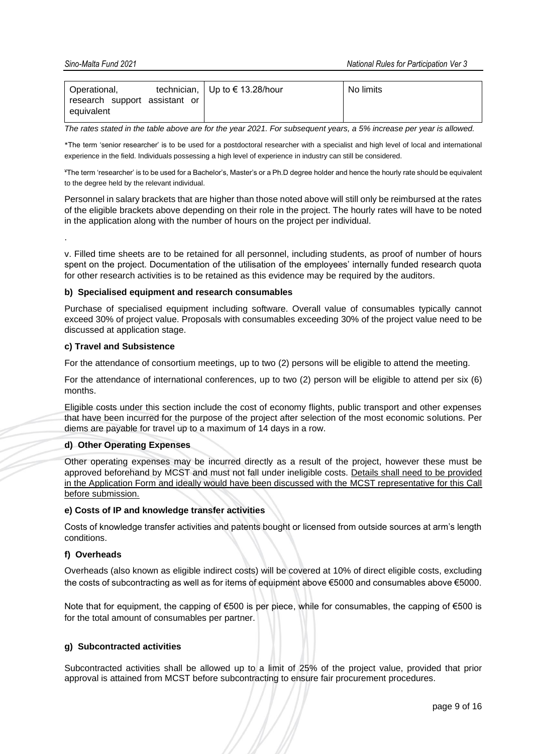| Operational,                  | technician, Up to € 13.28/hour | No limits |
|-------------------------------|--------------------------------|-----------|
| research support assistant or |                                |           |
| equivalent                    |                                |           |

*The rates stated in the table above are for the year 2021. For subsequent years, a 5% increase per year is allowed.* 

\*The term 'senior researcher' is to be used for a postdoctoral researcher with a specialist and high level of local and international experience in the field. Individuals possessing a high level of experience in industry can still be considered.

¥The term 'researcher' is to be used for a Bachelor's, Master's or a Ph.D degree holder and hence the hourly rate should be equivalent to the degree held by the relevant individual.

Personnel in salary brackets that are higher than those noted above will still only be reimbursed at the rates of the eligible brackets above depending on their role in the project. The hourly rates will have to be noted in the application along with the number of hours on the project per individual.

.

v. Filled time sheets are to be retained for all personnel, including students, as proof of number of hours spent on the project. Documentation of the utilisation of the employees' internally funded research quota for other research activities is to be retained as this evidence may be required by the auditors.

#### **b) Specialised equipment and research consumables**

Purchase of specialised equipment including software. Overall value of consumables typically cannot exceed 30% of project value. Proposals with consumables exceeding 30% of the project value need to be discussed at application stage.

#### **c) Travel and Subsistence**

For the attendance of consortium meetings, up to two (2) persons will be eligible to attend the meeting.

For the attendance of international conferences, up to two (2) person will be eligible to attend per six (6) months.

Eligible costs under this section include the cost of economy flights, public transport and other expenses that have been incurred for the purpose of the project after selection of the most economic solutions. Per diems are payable for travel up to a maximum of 14 days in a row.

#### **d) Other Operating Expenses**

Other operating expenses may be incurred directly as a result of the project, however these must be approved beforehand by MCST and must not fall under ineligible costs. Details shall need to be provided in the Application Form and ideally would have been discussed with the MCST representative for this Call before submission.

#### **e) Costs of IP and knowledge transfer activities**

Costs of knowledge transfer activities and patents bought or licensed from outside sources at arm's length conditions.

#### **f) Overheads**

Overheads (also known as eligible indirect costs) will be covered at 10% of direct eligible costs, excluding the costs of subcontracting as well as for items of equipment above €5000 and consumables above €5000.

Note that for equipment, the capping of €500 is per piece, while for consumables, the capping of €500 is for the total amount of consumables per partner.

#### **g) Subcontracted activities**

Subcontracted activities shall be allowed up to a limit of 25% of the project value, provided that prior approval is attained from MCST before subcontracting to ensure fair procurement procedures.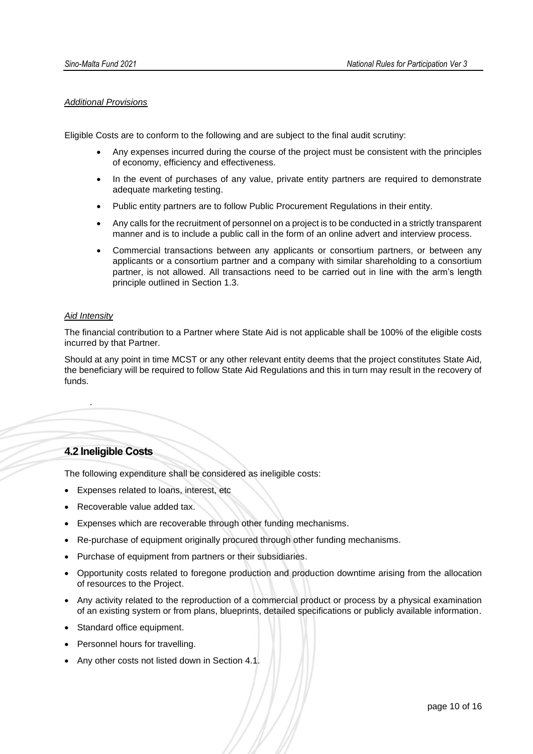#### *Additional Provisions*

Eligible Costs are to conform to the following and are subject to the final audit scrutiny:

- Any expenses incurred during the course of the project must be consistent with the principles of economy, efficiency and effectiveness.
- In the event of purchases of any value, private entity partners are required to demonstrate adequate marketing testing.
- Public entity partners are to follow Public Procurement Regulations in their entity.
- Any calls for the recruitment of personnel on a project is to be conducted in a strictly transparent manner and is to include a public call in the form of an online advert and interview process.
- Commercial transactions between any applicants or consortium partners, or between any applicants or a consortium partner and a company with similar shareholding to a consortium partner, is not allowed. All transactions need to be carried out in line with the arm's length principle outlined in Section 1.3.

#### *Aid Intensity*

.

The financial contribution to a Partner where State Aid is not applicable shall be 100% of the eligible costs incurred by that Partner.

Should at any point in time MCST or any other relevant entity deems that the project constitutes State Aid, the beneficiary will be required to follow State Aid Regulations and this in turn may result in the recovery of funds.

## <span id="page-11-0"></span>**4.2 Ineligible Costs**

The following expenditure shall be considered as ineligible costs:

- Expenses related to loans, interest, etc
- Recoverable value added tax.
- Expenses which are recoverable through other funding mechanisms.
- Re-purchase of equipment originally procured through other funding mechanisms.
- Purchase of equipment from partners or their subsidiaries.
- Opportunity costs related to foregone production and production downtime arising from the allocation of resources to the Project.
- Any activity related to the reproduction of a commercial product or process by a physical examination of an existing system or from plans, blueprints, detailed specifications or publicly available information.
- Standard office equipment.
- Personnel hours for travelling.
- Any other costs not listed down in Section 4.1.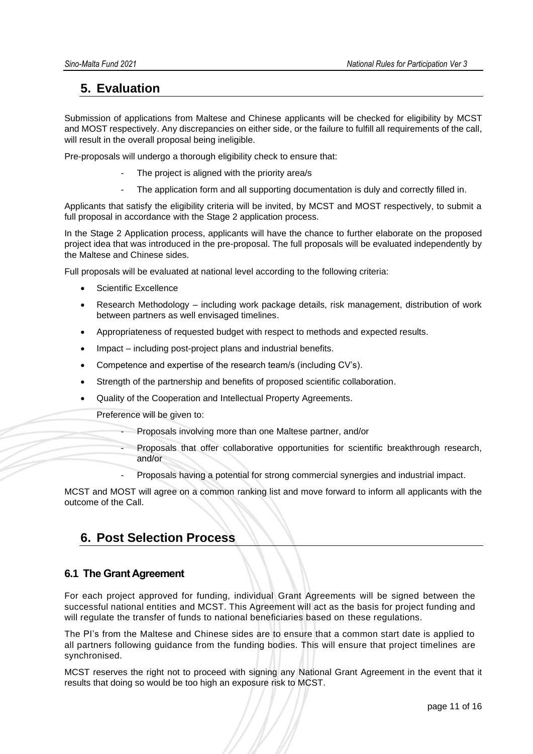# <span id="page-12-0"></span>**5. Evaluation**

Submission of applications from Maltese and Chinese applicants will be checked for eligibility by MCST and MOST respectively. Any discrepancies on either side, or the failure to fulfill all requirements of the call, will result in the overall proposal being ineligible.

Pre-proposals will undergo a thorough eligibility check to ensure that:

- The project is aligned with the priority area/s
- The application form and all supporting documentation is duly and correctly filled in.

Applicants that satisfy the eligibility criteria will be invited, by MCST and MOST respectively, to submit a full proposal in accordance with the Stage 2 application process.

In the Stage 2 Application process, applicants will have the chance to further elaborate on the proposed project idea that was introduced in the pre-proposal. The full proposals will be evaluated independently by the Maltese and Chinese sides.

Full proposals will be evaluated at national level according to the following criteria:

- Scientific Excellence
- Research Methodology including work package details, risk management, distribution of work between partners as well envisaged timelines.
- Appropriateness of requested budget with respect to methods and expected results.
- Impact including post-project plans and industrial benefits.
- Competence and expertise of the research team/s (including CV's).
- Strength of the partnership and benefits of proposed scientific collaboration.
- Quality of the Cooperation and Intellectual Property Agreements.

Preference will be given to:

- Proposals involving more than one Maltese partner, and/or
- Proposals that offer collaborative opportunities for scientific breakthrough research, and/or
- Proposals having a potential for strong commercial synergies and industrial impact.

MCST and MOST will agree on a common ranking list and move forward to inform all applicants with the outcome of the Call.

# <span id="page-12-1"></span>**6. Post Selection Process**

## <span id="page-12-2"></span>**6.1 The Grant Agreement**

For each project approved for funding, individual Grant Agreements will be signed between the successful national entities and MCST. This Agreement will act as the basis for project funding and will regulate the transfer of funds to national beneficiaries based on these regulations.

The PI's from the Maltese and Chinese sides are to ensure that a common start date is applied to all partners following guidance from the funding bodies. This will ensure that project timelines are synchronised.

MCST reserves the right not to proceed with signing any National Grant Agreement in the event that it results that doing so would be too high an exposure risk to MCST.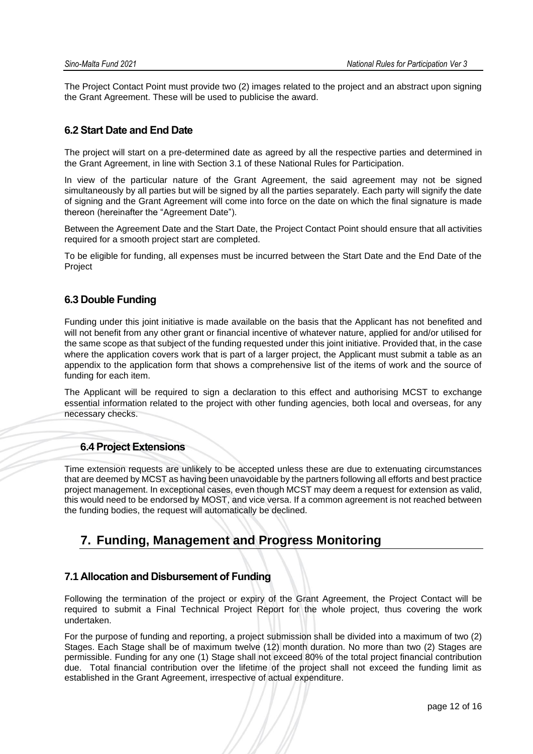The Project Contact Point must provide two (2) images related to the project and an abstract upon signing the Grant Agreement. These will be used to publicise the award.

## <span id="page-13-0"></span>**6.2 Start Date and End Date**

The project will start on a pre-determined date as agreed by all the respective parties and determined in the Grant Agreement, in line with Section 3.1 of these National Rules for Participation.

In view of the particular nature of the Grant Agreement, the said agreement may not be signed simultaneously by all parties but will be signed by all the parties separately. Each party will signify the date of signing and the Grant Agreement will come into force on the date on which the final signature is made thereon (hereinafter the "Agreement Date").

Between the Agreement Date and the Start Date, the Project Contact Point should ensure that all activities required for a smooth project start are completed.

To be eligible for funding, all expenses must be incurred between the Start Date and the End Date of the Project

#### <span id="page-13-1"></span>**6.3 Double Funding**

Funding under this joint initiative is made available on the basis that the Applicant has not benefited and will not benefit from any other grant or financial incentive of whatever nature, applied for and/or utilised for the same scope as that subject of the funding requested under this joint initiative. Provided that, in the case where the application covers work that is part of a larger project, the Applicant must submit a table as an appendix to the application form that shows a comprehensive list of the items of work and the source of funding for each item.

The Applicant will be required to sign a declaration to this effect and authorising MCST to exchange essential information related to the project with other funding agencies, both local and overseas, for any necessary checks.

#### **6.4 Project Extensions**

Time extension requests are unlikely to be accepted unless these are due to extenuating circumstances that are deemed by MCST as having been unavoidable by the partners following all efforts and best practice project management. In exceptional cases, even though MCST may deem a request for extension as valid, this would need to be endorsed by MOST, and vice versa. If a common agreement is not reached between the funding bodies, the request will automatically be declined.

## <span id="page-13-2"></span>**7. Funding, Management and Progress Monitoring**

## <span id="page-13-3"></span>**7.1 Allocation and Disbursement of Funding**

Following the termination of the project or expiry of the Grant Agreement, the Project Contact will be required to submit a Final Technical Project Report for the whole project, thus covering the work undertaken.

For the purpose of funding and reporting, a project submission shall be divided into a maximum of two (2) Stages. Each Stage shall be of maximum twelve (12) month duration. No more than two (2) Stages are permissible. Funding for any one (1) Stage shall not exceed 80% of the total project financial contribution due. Total financial contribution over the lifetime of the project shall not exceed the funding limit as established in the Grant Agreement, irrespective of actual expenditure.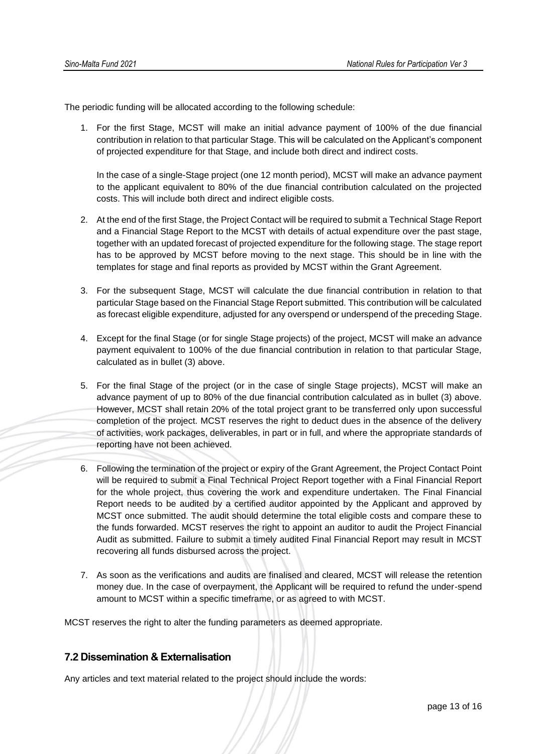The periodic funding will be allocated according to the following schedule:

1. For the first Stage, MCST will make an initial advance payment of 100% of the due financial contribution in relation to that particular Stage. This will be calculated on the Applicant's component of projected expenditure for that Stage, and include both direct and indirect costs.

In the case of a single-Stage project (one 12 month period), MCST will make an advance payment to the applicant equivalent to 80% of the due financial contribution calculated on the projected costs. This will include both direct and indirect eligible costs.

- 2. At the end of the first Stage, the Project Contact will be required to submit a Technical Stage Report and a Financial Stage Report to the MCST with details of actual expenditure over the past stage, together with an updated forecast of projected expenditure for the following stage. The stage report has to be approved by MCST before moving to the next stage. This should be in line with the templates for stage and final reports as provided by MCST within the Grant Agreement.
- 3. For the subsequent Stage, MCST will calculate the due financial contribution in relation to that particular Stage based on the Financial Stage Report submitted. This contribution will be calculated as forecast eligible expenditure, adjusted for any overspend or underspend of the preceding Stage.
- 4. Except for the final Stage (or for single Stage projects) of the project, MCST will make an advance payment equivalent to 100% of the due financial contribution in relation to that particular Stage, calculated as in bullet (3) above.
- 5. For the final Stage of the project (or in the case of single Stage projects), MCST will make an advance payment of up to 80% of the due financial contribution calculated as in bullet (3) above. However, MCST shall retain 20% of the total project grant to be transferred only upon successful completion of the project. MCST reserves the right to deduct dues in the absence of the delivery of activities, work packages, deliverables, in part or in full, and where the appropriate standards of reporting have not been achieved.
- 6. Following the termination of the project or expiry of the Grant Agreement, the Project Contact Point will be required to submit a Final Technical Project Report together with a Final Financial Report for the whole project, thus covering the work and expenditure undertaken. The Final Financial Report needs to be audited by a certified auditor appointed by the Applicant and approved by MCST once submitted. The audit should determine the total eligible costs and compare these to the funds forwarded. MCST reserves the right to appoint an auditor to audit the Project Financial Audit as submitted. Failure to submit a timely audited Final Financial Report may result in MCST recovering all funds disbursed across the project.
- 7. As soon as the verifications and audits are finalised and cleared, MCST will release the retention money due. In the case of overpayment, the Applicant will be required to refund the under-spend amount to MCST within a specific timeframe, or as agreed to with MCST.

MCST reserves the right to alter the funding parameters as deemed appropriate.

## <span id="page-14-0"></span>**7.2 Dissemination & Externalisation**

Any articles and text material related to the project should include the words: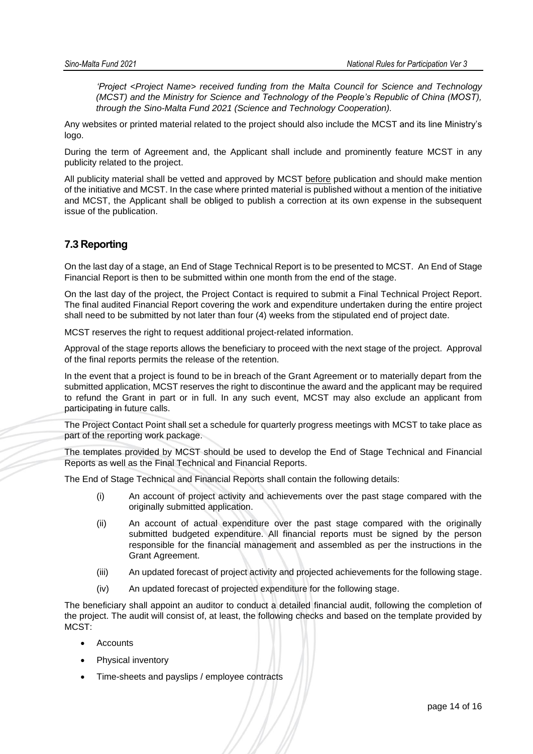*'Project <Project Name> received funding from the Malta Council for Science and Technology (MCST) and the Ministry for Science and Technology of the People's Republic of China (MOST), through the Sino-Malta Fund 2021 (Science and Technology Cooperation).* 

Any websites or printed material related to the project should also include the MCST and its line Ministry's logo.

During the term of Agreement and, the Applicant shall include and prominently feature MCST in any publicity related to the project.

All publicity material shall be vetted and approved by MCST before publication and should make mention of the initiative and MCST. In the case where printed material is published without a mention of the initiative and MCST, the Applicant shall be obliged to publish a correction at its own expense in the subsequent issue of the publication.

## <span id="page-15-0"></span>**7.3 Reporting**

On the last day of a stage, an End of Stage Technical Report is to be presented to MCST. An End of Stage Financial Report is then to be submitted within one month from the end of the stage.

On the last day of the project, the Project Contact is required to submit a Final Technical Project Report. The final audited Financial Report covering the work and expenditure undertaken during the entire project shall need to be submitted by not later than four (4) weeks from the stipulated end of project date.

MCST reserves the right to request additional project-related information.

Approval of the stage reports allows the beneficiary to proceed with the next stage of the project. Approval of the final reports permits the release of the retention.

In the event that a project is found to be in breach of the Grant Agreement or to materially depart from the submitted application, MCST reserves the right to discontinue the award and the applicant may be required to refund the Grant in part or in full. In any such event, MCST may also exclude an applicant from participating in future calls.

The Project Contact Point shall set a schedule for quarterly progress meetings with MCST to take place as part of the reporting work package.

The templates provided by MCST should be used to develop the End of Stage Technical and Financial Reports as well as the Final Technical and Financial Reports.

The End of Stage Technical and Financial Reports shall contain the following details:

- (i) An account of project activity and achievements over the past stage compared with the originally submitted application.
- (ii) An account of actual expenditure over the past stage compared with the originally submitted budgeted expenditure. All financial reports must be signed by the person responsible for the financial management and assembled as per the instructions in the Grant Agreement.
- (iii) An updated forecast of project activity and projected achievements for the following stage.
- (iv) An updated forecast of projected expenditure for the following stage.

The beneficiary shall appoint an auditor to conduct a detailed financial audit, following the completion of the project. The audit will consist of, at least, the following checks and based on the template provided by MCST:

- **Accounts**
- Physical inventory
- Time-sheets and payslips / employee contracts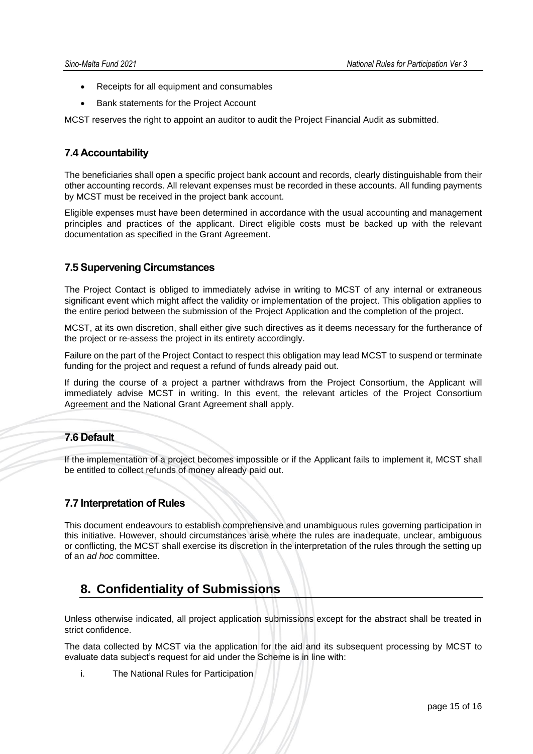- Receipts for all equipment and consumables
- Bank statements for the Project Account

MCST reserves the right to appoint an auditor to audit the Project Financial Audit as submitted.

## <span id="page-16-0"></span>**7.4 Accountability**

The beneficiaries shall open a specific project bank account and records, clearly distinguishable from their other accounting records. All relevant expenses must be recorded in these accounts. All funding payments by MCST must be received in the project bank account.

Eligible expenses must have been determined in accordance with the usual accounting and management principles and practices of the applicant. Direct eligible costs must be backed up with the relevant documentation as specified in the Grant Agreement.

## <span id="page-16-1"></span>**7.5 Supervening Circumstances**

The Project Contact is obliged to immediately advise in writing to MCST of any internal or extraneous significant event which might affect the validity or implementation of the project. This obligation applies to the entire period between the submission of the Project Application and the completion of the project.

MCST, at its own discretion, shall either give such directives as it deems necessary for the furtherance of the project or re-assess the project in its entirety accordingly.

Failure on the part of the Project Contact to respect this obligation may lead MCST to suspend or terminate funding for the project and request a refund of funds already paid out.

If during the course of a project a partner withdraws from the Project Consortium, the Applicant will immediately advise MCST in writing. In this event, the relevant articles of the Project Consortium Agreement and the National Grant Agreement shall apply.

## <span id="page-16-2"></span>**7.6 Default**

If the implementation of a project becomes impossible or if the Applicant fails to implement it, MCST shall be entitled to collect refunds of money already paid out.

## <span id="page-16-3"></span>**7.7 Interpretation of Rules**

This document endeavours to establish comprehensive and unambiguous rules governing participation in this initiative. However, should circumstances arise where the rules are inadequate, unclear, ambiguous or conflicting, the MCST shall exercise its discretion in the interpretation of the rules through the setting up of an *ad hoc* committee.

# <span id="page-16-4"></span>**8. Confidentiality of Submissions**

Unless otherwise indicated, all project application submissions except for the abstract shall be treated in strict confidence.

The data collected by MCST via the application for the aid and its subsequent processing by MCST to evaluate data subject's request for aid under the Scheme is in line with:

i. The National Rules for Participation